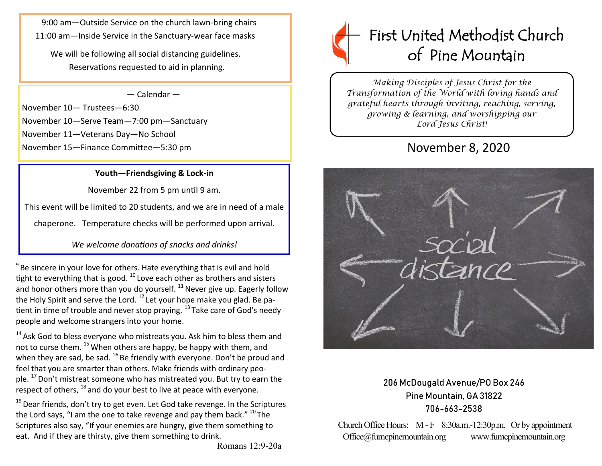9:00 am—Outside Service on the church lawn-bring chairs 11:00 am—Inside Service in the Sanctuary-wear face masks

We will be following all social distancing guidelines. Reservations requested to aid in planning.

#### — Calendar —

November 10— Trustees—6:30 November 10—Serve Team—7:00 pm—Sanctuary November 11—Veterans Day—No School November 15—Finance Committee—5:30 pm

#### **Youth—Friendsgiving & Lock-in**

November 22 from 5 pm until 9 am.

This event will be limited to 20 students, and we are in need of a male

chaperone. Temperature checks will be performed upon arrival.

*We welcome donations of snacks and drinks!*

 $9^9$  Be sincere in your love for others. Hate everything that is evil and hold tight to everything that is good.  $^{10}$  Love each other as brothers and sisters and honor others more than you do yourself.  $^{11}$  Never give up. Eagerly follow the Holy Spirit and serve the Lord.  $^{12}$  Let your hope make you glad. Be patient in time of trouble and never stop praying.  $^{13}$  Take care of God's needy people and welcome strangers into your home.

 $14$  Ask God to bless everyone who mistreats you. Ask him to bless them and not to curse them. <sup>15</sup> When others are happy, be happy with them, and when they are sad, be sad.  $^{16}$  Be friendly with everyone. Don't be proud and feel that you are smarter than others. Make friends with ordinary people.  $^{17}$  Don't mistreat someone who has mistreated you. But try to earn the respect of others, <sup>18</sup> and do your best to live at peace with everyone.

 $19$  Dear friends, don't try to get even. Let God take revenge. In the Scriptures the Lord says, "I am the one to take revenge and pay them back."  $^{20}$  The Scriptures also say, "If your enemies are hungry, give them something to eat. And if they are thirsty, give them something to drink.

# First United Methodist Church of Pine Mountain

*Making Disciples of Jesus Christ for the Transformation of the World with loving hands and grateful hearts through inviting, reaching, serving, growing & learning, and worshipping our Lord Jesus Christ!* 

# November 8, 2020



## 206 McDougald Avenue/PO Box 246 Pine Mountain, GA 31822 706-663-2538

Church Office Hours: M - F 8:30a.m.-12:30p.m. Or by appointment Office@fumcpinemountain.org www.fumcpinemountain.org